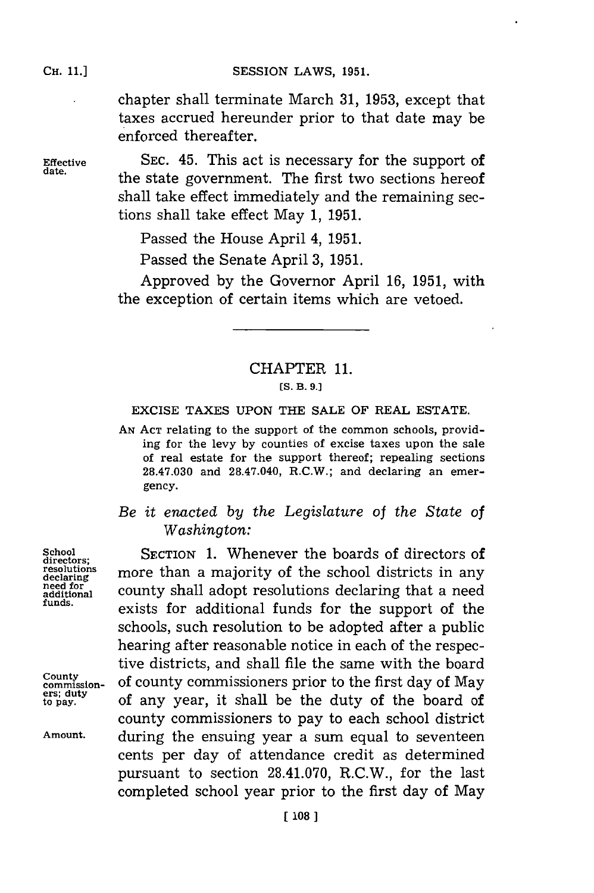chapter shall terminate March **31, 1953,** except that taxes accrued hereunder prior to that date may be enforced thereafter.

**Effective** SEC. 45. This act is necessary for the support of date. the state government. The first two sections hereof shall take effect immediately and the remaining sections shall take effect May **1, 1951.**

Passed the House April 4, **1951.**

Passed the Senate April **3, 1951.**

Approved **by** the Governor April **16, 1951,** with the exception of certain items which are vetoed.

## CHAPTER **11.**

## **[S. B. 9.J**

## EXCISE **TAXES UPON** THE **SALE** OF REAL **ESTATE.**

**AN ACT** relating to the support of the common schools, providing for the levy **by** counties of excise taxes upon the sale of real estate for the support thereof; repealing sections **28.47.030** and 28.47.040, **R.C.W.;** and declaring an emergency.

*Be it enacted by the Legislature of the State of Washington:*

School<br>directors; **SECTION 1. Whenever the boards of directors of**<br>resolutions more than a majority of the school districts in any resolutions more than a majority of the school districts in any need for county shall adopt resolutions declaring that a need need for **county** shall adopt resolutions declaring that a need funds. **funds,** exists for additional funds for the support of the schools, such resolution to be adopted after a public hearing after reasonable notice in each of the respective districts, and shall file the same with the board County<br>commission- of county commissioners prior to the first day of May to **duy** of any year, it shall be the duty of the board of county commissioners to pay to each school district **Amount,** during the ensuing year a sum equal to seventeen cents per day of attendance credit as determined pursuant to section **28.41.070,** R.C.W., for the last completed school year prior to the first day of May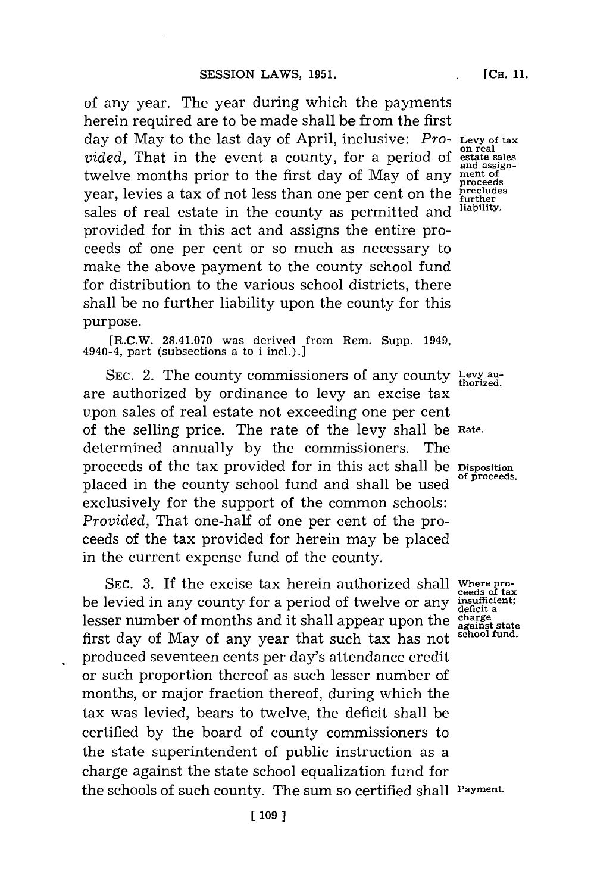of any year. The year during which the payments herein required are to be made shall be from the first day of May to the last day of April, inclusive: *Pro-* **Levy of tax on real** *vided,* That in the event a county, for a period of **estate sales** twelve months prior to the first day of May of any **ment of<sup>5</sup>** year, levies a tax of not less than one per cent on the *precludes* sales of real estate in the county as permitted and **liability.** provided for in this act and assigns the entire proceeds of one per cent or so much as necessary to make the above payment to the county school fund for distribution to the various school districts, there shall be no further liability upon the county for this purpose.

**[R.C.W. 28.41.070** was derived from Rem. Supp. 1949, 4940-4, part (subsections a to i incl.).

SEC. 2. The county commissioners of any county Levy auare authorized **by** ordinance to levy an excise tax upon sales of real estate not exceeding one per cent of the selling price. The rate of the levy shall be Rate. determined annually **by** the commissioners. The proceeds of the tax provided for in this act shall be **Disposition** placed in the county school fund and shall be used exclusively for the support of the common schools: *Provided,* That one-half of one per cent of the proceeds of the tax provided for herein may be placed in the current expense fund of the county.

**SEC. 3.** If the excise tax herein authorized shall **Where pro- ceeds of tax** be levied in any county for a period of twelve or any **insufficit** lesser number of months and it shall appear upon the charge against state first day of May of any year that such tax has not school fund. produced seventeen cents per day's attendance credit or such proportion thereof as such lesser number of months, or major fraction thereof, during which the tax was levied, bears to twelve, the deficit shall be certified **by** the board of county commissioners to the state superintendent of public instruction as a charge against the state school equalization fund for the schools of such county. The sum so certified shall **Payment.**

**proceeds**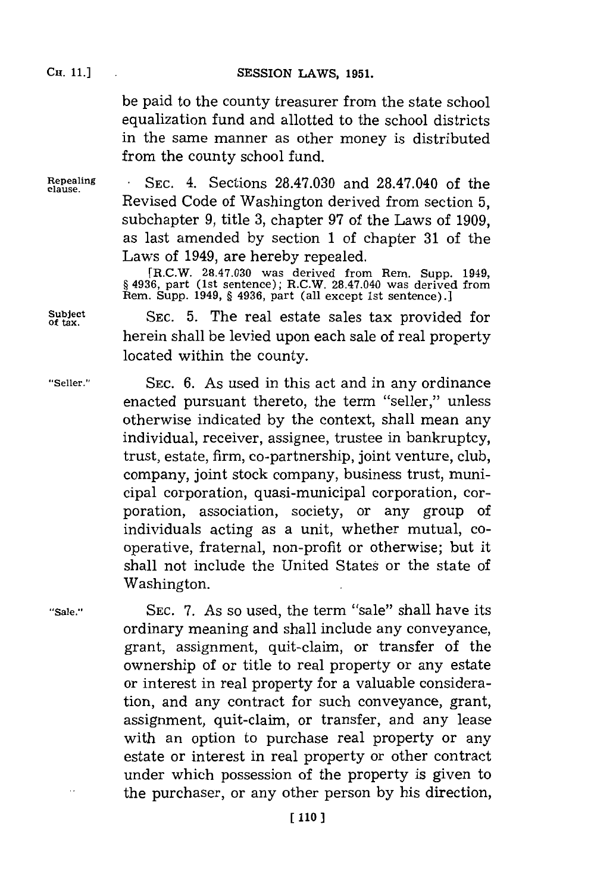be paid to the county treasurer from the state school equalization fund and allotted to the school districts in the same manner as other money is distributed from the county school fund.

**clause.**

**Repealing SEC.** 4. Sections **28.47.030** and 28.47.040 of the Revised Code of Washington derived from section **5,** subchapter **9,** title **3,** chapter **97** of the Laws of **1909,** as last amended **by** section **1** of chapter **31** of the Laws of 1949, are hereby repealed.

> [R.C.W. **28.47.030** was derived from Rem. Supp. 1949, **§** 4936, part (1st sentence); R.C.W. 28.47.040 was derived from Rem. Supp. 1949, **§** 4936, part (all except 1st sentence).]

> SEC. 5. The real estate sales tax provided for herein shall be levied upon each sale of real property located within the county.

**of tax.**

**"Seller." SEC. 6.** As used in this act and in any ordinance enacted pursuant thereto, the term "seller," unless otherwise indicated **by** the context, shall mean any individual, receiver, assignee, trustee in bankruptcy, trust, estate, firm, co-partnership, joint venture, club, company, joint stock company, business trust, municipal corporation, quasi-municipal corporation, corporation, association, society, or any group of individuals acting as a unit, whether mutual, cooperative, fraternal, non-profit or otherwise; but it shall not include the United States or the state of Washington.

**"Sale."~ SEC. 7.** As so used, the term "sale" shall have its ordinary meaning and shall include any conveyance, grant, assignment, quit-claim, or transfer of the ownership of or title to real property or any estate or interest in real property for a valuable consideration, and any contract for such conveyance, grant, assignment, quit-claim, or transfer, and any lease with an option to purchase real property or any estate or interest in real property or other contract under which possession of the property is given to the purchaser, or any other person **by** his direction,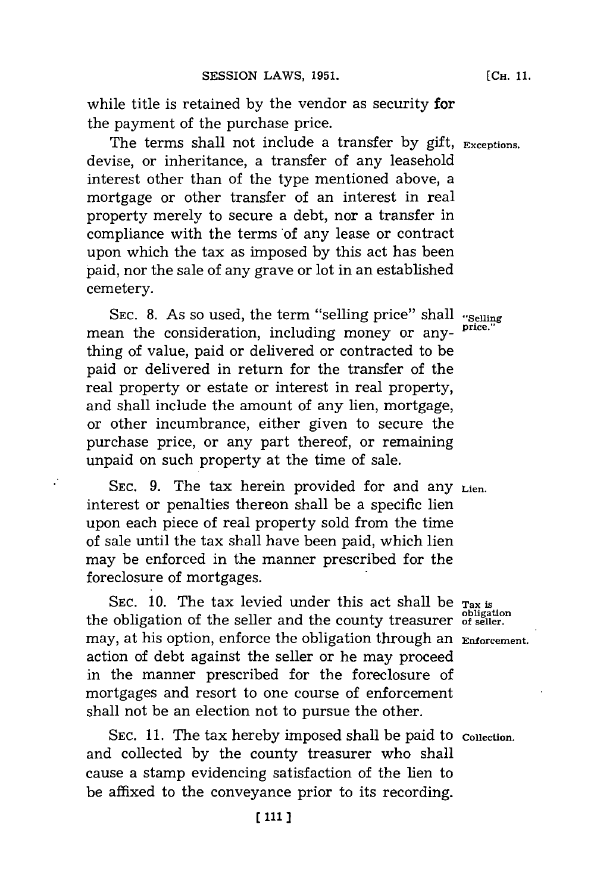while title is retained **by** the vendor as security for the payment of the purchase price.

The terms shall not include a transfer **by** gift, **Exceptions.** devise, or inheritance, a transfer of any leasehold interest other than of the type mentioned above, a mortgage or other transfer of an interest in real property merely to secure a debt, nor a transfer in compliance with the terms of any lease or contract upon which the tax as imposed **by** this act has been paid, nor the sale of any grave or lot in an established cemetery.

SEC. 8. As so used, the term "selling price" shall "selling mean the consideration, including money or anything of value, paid or delivered or contracted to be paid or delivered in return for the transfer of the real property or estate or interest in real property, and shall include the amount of any lien, mortgage, or other incumbrance, either given to secure the purchase price, or any part thereof, or remaining unpaid on such property at the time of sale.

**SEC. 9.** The tax herein provided for and any **Lien.** interest or penalties thereon shall be a specific lien upon each piece of real property sold from the time of sale until the tax shall have been paid, which lien may be enforced in the manner prescribed for the foreclosure of mortgages.

SEC. 10. The tax levied under this act shall be Tax is the obligation of the seller and the county treasurer of seller. may, at his option, enforce the obligation through an **Enforcement,** action of debt against the seller or he may proceed in the manner prescribed for the foreclosure of mortgages and resort to one course of enforcement shall not be an election not to pursue the other.

SEC. 11. The tax hereby imposed shall be paid to *collection*. and collected **by** the county treasurer who shall cause a stamp evidencing satisfaction of the lien to be affixed to the conveyance prior to its recording.

**[ill ]**